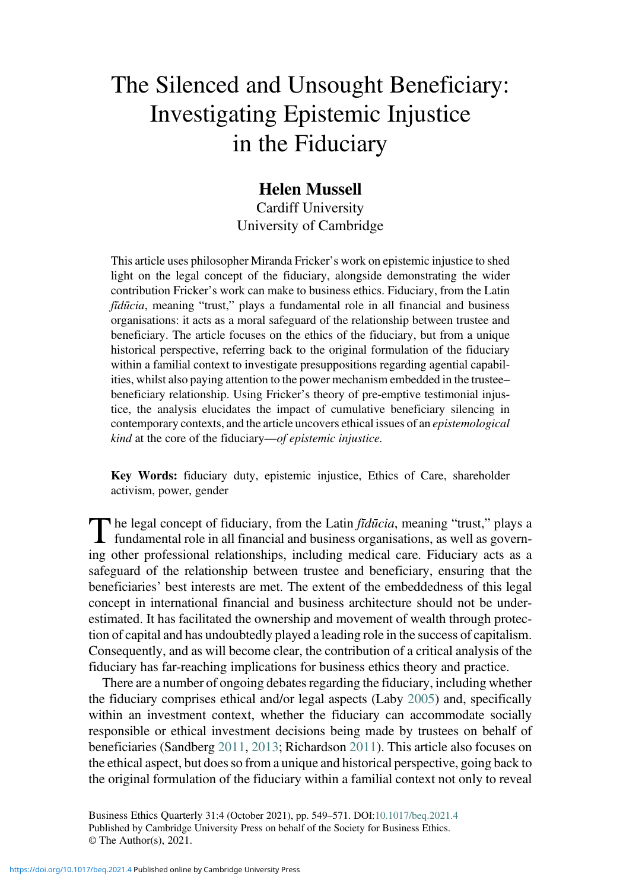# The Silenced and Unsought Beneficiary: Investigating Epistemic Injustice in the Fiduciary

## Helen Mussell

Cardiff University University of Cambridge

This article uses philosopher Miranda Fricker's work on epistemic injustice to shed light on the legal concept of the fiduciary, alongside demonstrating the wider contribution Fricker's work can make to business ethics. Fiduciary, from the Latin fīdūcia, meaning "trust," plays a fundamental role in all financial and business organisations: it acts as a moral safeguard of the relationship between trustee and beneficiary. The article focuses on the ethics of the fiduciary, but from a unique historical perspective, referring back to the original formulation of the fiduciary within a familial context to investigate presuppositions regarding agential capabilities, whilst also paying attention to the power mechanism embedded in the trustee– beneficiary relationship. Using Fricker's theory of pre-emptive testimonial injustice, the analysis elucidates the impact of cumulative beneficiary silencing in contemporary contexts, and the article uncovers ethical issues of an epistemological kind at the core of the fiduciary—of epistemic injustice.

Key Words: fiduciary duty, epistemic injustice, Ethics of Care, shareholder activism, power, gender

The legal concept of fiduciary, from the Latin *fīdūcia*, meaning "trust," plays a fundamental role in all financial and business organisations, as well as governing other professional relationships, including medical care. Fiduciary acts as a safeguard of the relationship between trustee and beneficiary, ensuring that the beneficiaries' best interests are met. The extent of the embeddedness of this legal concept in international financial and business architecture should not be underestimated. It has facilitated the ownership and movement of wealth through protection of capital and has undoubtedly played a leading role in the success of capitalism. Consequently, and as will become clear, the contribution of a critical analysis of the fiduciary has far-reaching implications for business ethics theory and practice.

There are a number of ongoing debates regarding the fiduciary, including whether the fiduciary comprises ethical and/or legal aspects (Laby [2005\)](#page-21-0) and, specifically within an investment context, whether the fiduciary can accommodate socially responsible or ethical investment decisions being made by trustees on behalf of beneficiaries (Sandberg [2011](#page-21-0), [2013](#page-22-0); Richardson [2011\)](#page-21-0). This article also focuses on the ethical aspect, but does so from a unique and historical perspective, going back to the original formulation of the fiduciary within a familial context not only to reveal

Business Ethics Quarterly 31:4 (October 2021), pp. 549–571. DOI[:10.1017/beq.2021.4](https://doi.org/10.1017/beq.2021.4) Published by Cambridge University Press on behalf of the Society for Business Ethics. © The Author(s), 2021.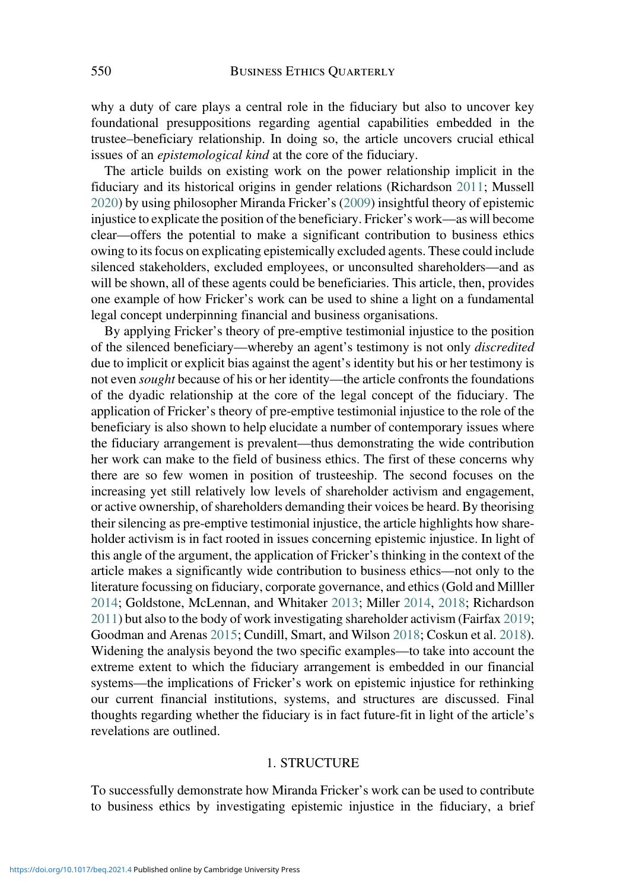why a duty of care plays a central role in the fiduciary but also to uncover key foundational presuppositions regarding agential capabilities embedded in the trustee–beneficiary relationship. In doing so, the article uncovers crucial ethical issues of an *epistemological kind* at the core of the fiduciary.

The article builds on existing work on the power relationship implicit in the fiduciary and its historical origins in gender relations (Richardson [2011](#page-21-0); Mussell [2020\)](#page-21-0) by using philosopher Miranda Fricker's ([2009\)](#page-21-0) insightful theory of epistemic injustice to explicate the position of the beneficiary. Fricker's work—as will become clear—offers the potential to make a significant contribution to business ethics owing to its focus on explicating epistemically excluded agents. These could include silenced stakeholders, excluded employees, or unconsulted shareholders—and as will be shown, all of these agents could be beneficiaries. This article, then, provides one example of how Fricker's work can be used to shine a light on a fundamental legal concept underpinning financial and business organisations.

By applying Fricker's theory of pre-emptive testimonial injustice to the position of the silenced beneficiary—whereby an agent's testimony is not only discredited due to implicit or explicit bias against the agent's identity but his or her testimony is not even *sought* because of his or her identity—the article confronts the foundations of the dyadic relationship at the core of the legal concept of the fiduciary. The application of Fricker's theory of pre-emptive testimonial injustice to the role of the beneficiary is also shown to help elucidate a number of contemporary issues where the fiduciary arrangement is prevalent—thus demonstrating the wide contribution her work can make to the field of business ethics. The first of these concerns why there are so few women in position of trusteeship. The second focuses on the increasing yet still relatively low levels of shareholder activism and engagement, or active ownership, of shareholders demanding their voices be heard. By theorising their silencing as pre-emptive testimonial injustice, the article highlights how shareholder activism is in fact rooted in issues concerning epistemic injustice. In light of this angle of the argument, the application of Fricker's thinking in the context of the article makes a significantly wide contribution to business ethics—not only to the literature focussing on fiduciary, corporate governance, and ethics (Gold and Milller [2014;](#page-21-0) Goldstone, McLennan, and Whitaker [2013](#page-21-0); Miller [2014,](#page-21-0) [2018](#page-21-0); Richardson [2011\)](#page-21-0) but also to the body of work investigating shareholder activism (Fairfax [2019](#page-20-0); Goodman and Arenas [2015](#page-21-0); Cundill, Smart, and Wilson [2018;](#page-20-0) Coskun et al. [2018\)](#page-20-0). Widening the analysis beyond the two specific examples—to take into account the extreme extent to which the fiduciary arrangement is embedded in our financial systems—the implications of Fricker's work on epistemic injustice for rethinking our current financial institutions, systems, and structures are discussed. Final thoughts regarding whether the fiduciary is in fact future-fit in light of the article's revelations are outlined.

#### 1. STRUCTURE

To successfully demonstrate how Miranda Fricker's work can be used to contribute to business ethics by investigating epistemic injustice in the fiduciary, a brief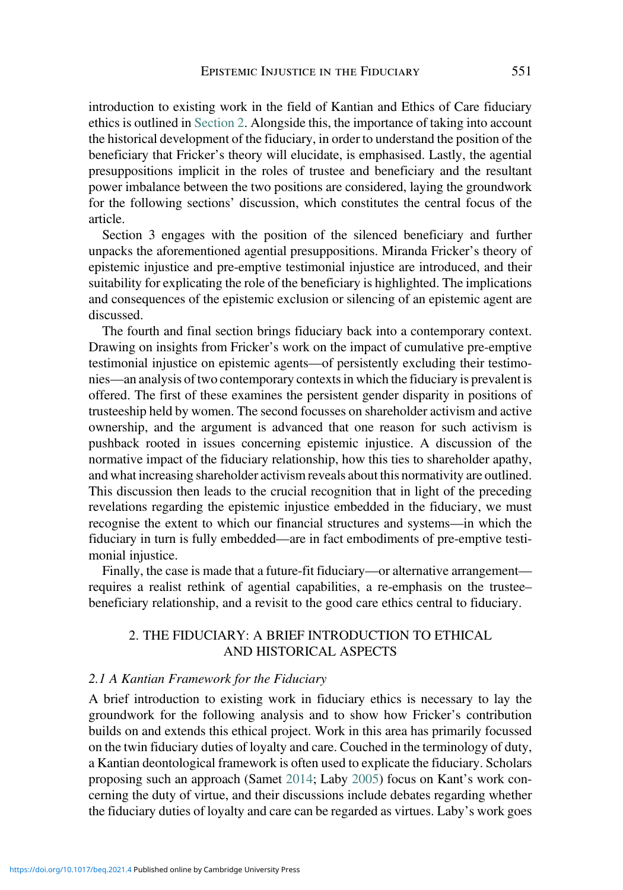introduction to existing work in the field of Kantian and Ethics of Care fiduciary ethics is outlined in Section 2. Alongside this, the importance of taking into account the historical development of the fiduciary, in order to understand the position of the beneficiary that Fricker's theory will elucidate, is emphasised. Lastly, the agential presuppositions implicit in the roles of trustee and beneficiary and the resultant power imbalance between the two positions are considered, laying the groundwork for the following sections' discussion, which constitutes the central focus of the article.

Section 3 engages with the position of the silenced beneficiary and further unpacks the aforementioned agential presuppositions. Miranda Fricker's theory of epistemic injustice and pre-emptive testimonial injustice are introduced, and their suitability for explicating the role of the beneficiary is highlighted. The implications and consequences of the epistemic exclusion or silencing of an epistemic agent are discussed.

The fourth and final section brings fiduciary back into a contemporary context. Drawing on insights from Fricker's work on the impact of cumulative pre-emptive testimonial injustice on epistemic agents—of persistently excluding their testimonies—an analysis of two contemporary contexts in which the fiduciary is prevalent is offered. The first of these examines the persistent gender disparity in positions of trusteeship held by women. The second focusses on shareholder activism and active ownership, and the argument is advanced that one reason for such activism is pushback rooted in issues concerning epistemic injustice. A discussion of the normative impact of the fiduciary relationship, how this ties to shareholder apathy, and what increasing shareholder activism reveals about this normativity are outlined. This discussion then leads to the crucial recognition that in light of the preceding revelations regarding the epistemic injustice embedded in the fiduciary, we must recognise the extent to which our financial structures and systems—in which the fiduciary in turn is fully embedded—are in fact embodiments of pre-emptive testimonial injustice.

Finally, the case is made that a future-fit fiduciary—or alternative arrangement requires a realist rethink of agential capabilities, a re-emphasis on the trustee– beneficiary relationship, and a revisit to the good care ethics central to fiduciary.

## 2. THE FIDUCIARY: A BRIEF INTRODUCTION TO ETHICAL AND HISTORICAL ASPECTS

#### 2.1 A Kantian Framework for the Fiduciary

A brief introduction to existing work in fiduciary ethics is necessary to lay the groundwork for the following analysis and to show how Fricker's contribution builds on and extends this ethical project. Work in this area has primarily focussed on the twin fiduciary duties of loyalty and care. Couched in the terminology of duty, a Kantian deontological framework is often used to explicate the fiduciary. Scholars proposing such an approach (Samet [2014](#page-21-0); Laby [2005\)](#page-21-0) focus on Kant's work concerning the duty of virtue, and their discussions include debates regarding whether the fiduciary duties of loyalty and care can be regarded as virtues. Laby's work goes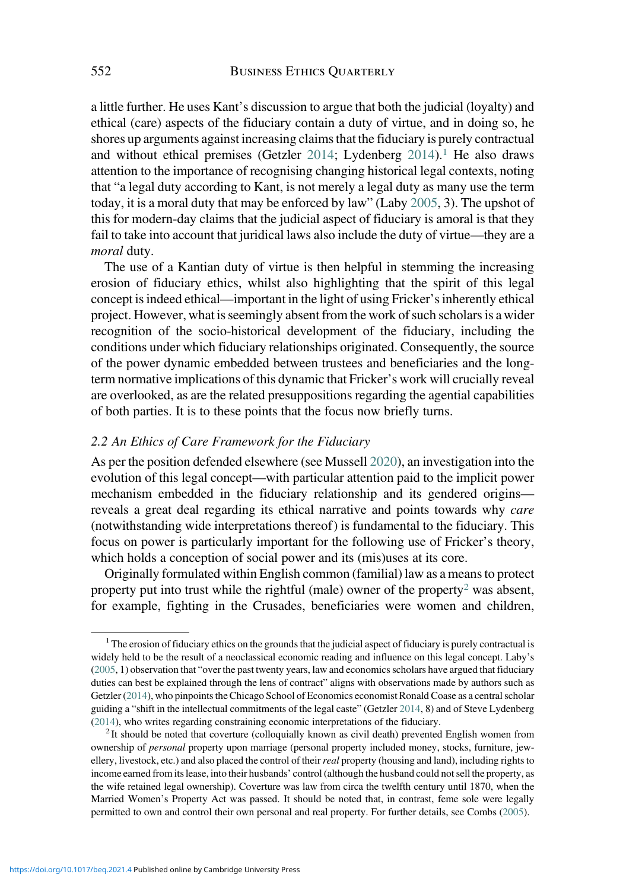a little further. He uses Kant's discussion to argue that both the judicial (loyalty) and ethical (care) aspects of the fiduciary contain a duty of virtue, and in doing so, he shores up arguments against increasing claims that the fiduciary is purely contractual and without ethical premises (Getzler [2014](#page-21-0); Lydenberg  $2014$ ).<sup>1</sup> He also draws attention to the importance of recognising changing historical legal contexts, noting that "a legal duty according to Kant, is not merely a legal duty as many use the term today, it is a moral duty that may be enforced by law" (Laby [2005,](#page-21-0) 3). The upshot of this for modern-day claims that the judicial aspect of fiduciary is amoral is that they fail to take into account that juridical laws also include the duty of virtue—they are a moral duty.

The use of a Kantian duty of virtue is then helpful in stemming the increasing erosion of fiduciary ethics, whilst also highlighting that the spirit of this legal concept is indeed ethical—important in the light of using Fricker's inherently ethical project. However, what is seemingly absent from the work of such scholars is a wider recognition of the socio-historical development of the fiduciary, including the conditions under which fiduciary relationships originated. Consequently, the source of the power dynamic embedded between trustees and beneficiaries and the longterm normative implications of this dynamic that Fricker's work will crucially reveal are overlooked, as are the related presuppositions regarding the agential capabilities of both parties. It is to these points that the focus now briefly turns.

### 2.2 An Ethics of Care Framework for the Fiduciary

As per the position defended elsewhere (see Mussell [2020](#page-21-0)), an investigation into the evolution of this legal concept—with particular attention paid to the implicit power mechanism embedded in the fiduciary relationship and its gendered origins reveals a great deal regarding its ethical narrative and points towards why care (notwithstanding wide interpretations thereof ) is fundamental to the fiduciary. This focus on power is particularly important for the following use of Fricker's theory, which holds a conception of social power and its (mis)uses at its core.

Originally formulated within English common (familial) law as a means to protect property put into trust while the rightful (male) owner of the property<sup>2</sup> was absent, for example, fighting in the Crusades, beneficiaries were women and children,

 $1$ <sup>1</sup> The erosion of fiduciary ethics on the grounds that the judicial aspect of fiduciary is purely contractual is widely held to be the result of a neoclassical economic reading and influence on this legal concept. Laby's [\(2005](#page-21-0), 1) observation that "over the past twenty years, law and economics scholars have argued that fiduciary duties can best be explained through the lens of contract" aligns with observations made by authors such as Getzler [\(2014](#page-21-0)), who pinpoints the Chicago School of Economics economist Ronald Coase as a central scholar guiding a "shift in the intellectual commitments of the legal caste" (Getzler [2014](#page-21-0), 8) and of Steve Lydenberg [\(2014](#page-21-0)), who writes regarding constraining economic interpretations of the fiduciary.<br><sup>2</sup> It should be noted that coverture (colloquially known as civil death) prevented English women from

ownership of personal property upon marriage (personal property included money, stocks, furniture, jewellery, livestock, etc.) and also placed the control of their real property (housing and land), including rights to income earned from its lease, into their husbands' control (although the husband could not sell the property, as the wife retained legal ownership). Coverture was law from circa the twelfth century until 1870, when the Married Women's Property Act was passed. It should be noted that, in contrast, feme sole were legally permitted to own and control their own personal and real property. For further details, see Combs ([2005\)](#page-20-0).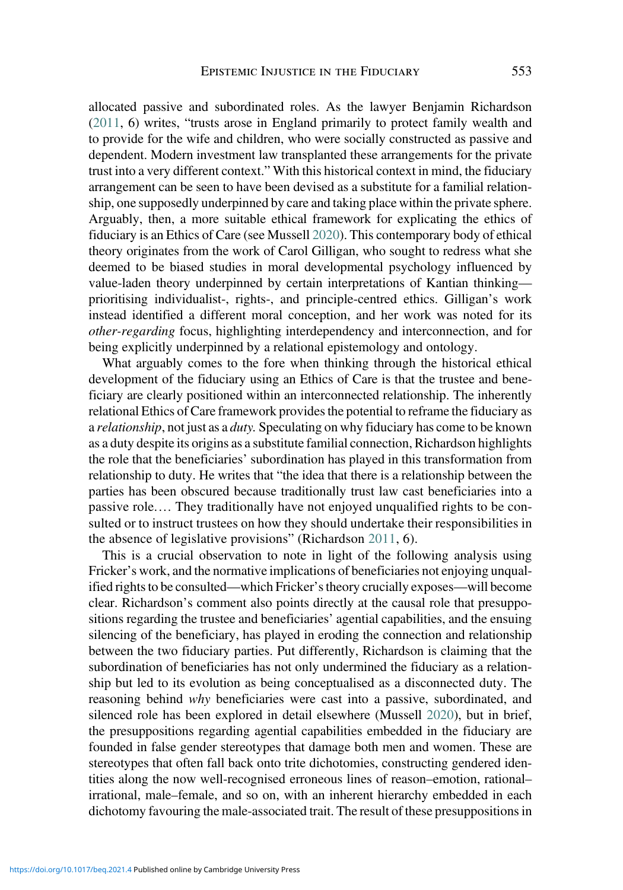allocated passive and subordinated roles. As the lawyer Benjamin Richardson [\(2011](#page-21-0), 6) writes, "trusts arose in England primarily to protect family wealth and to provide for the wife and children, who were socially constructed as passive and dependent. Modern investment law transplanted these arrangements for the private trust into a very different context." With this historical context in mind, the fiduciary arrangement can be seen to have been devised as a substitute for a familial relationship, one supposedly underpinned by care and taking place within the private sphere. Arguably, then, a more suitable ethical framework for explicating the ethics of fiduciary is an Ethics of Care (see Mussell [2020\)](#page-21-0). This contemporary body of ethical theory originates from the work of Carol Gilligan, who sought to redress what she deemed to be biased studies in moral developmental psychology influenced by value-laden theory underpinned by certain interpretations of Kantian thinking prioritising individualist-, rights-, and principle-centred ethics. Gilligan's work instead identified a different moral conception, and her work was noted for its other-regarding focus, highlighting interdependency and interconnection, and for being explicitly underpinned by a relational epistemology and ontology.

What arguably comes to the fore when thinking through the historical ethical development of the fiduciary using an Ethics of Care is that the trustee and beneficiary are clearly positioned within an interconnected relationship. The inherently relational Ethics of Care framework provides the potential to reframe the fiduciary as a *relationship*, not just as a *duty*. Speculating on why fiduciary has come to be known as a duty despite its origins as a substitute familial connection, Richardson highlights the role that the beneficiaries' subordination has played in this transformation from relationship to duty. He writes that "the idea that there is a relationship between the parties has been obscured because traditionally trust law cast beneficiaries into a passive role.… They traditionally have not enjoyed unqualified rights to be consulted or to instruct trustees on how they should undertake their responsibilities in the absence of legislative provisions" (Richardson [2011](#page-21-0), 6).

This is a crucial observation to note in light of the following analysis using Fricker's work, and the normative implications of beneficiaries not enjoying unqualified rights to be consulted—which Fricker's theory crucially exposes—will become clear. Richardson's comment also points directly at the causal role that presuppositions regarding the trustee and beneficiaries' agential capabilities, and the ensuing silencing of the beneficiary, has played in eroding the connection and relationship between the two fiduciary parties. Put differently, Richardson is claiming that the subordination of beneficiaries has not only undermined the fiduciary as a relationship but led to its evolution as being conceptualised as a disconnected duty. The reasoning behind why beneficiaries were cast into a passive, subordinated, and silenced role has been explored in detail elsewhere (Mussell [2020](#page-21-0)), but in brief, the presuppositions regarding agential capabilities embedded in the fiduciary are founded in false gender stereotypes that damage both men and women. These are stereotypes that often fall back onto trite dichotomies, constructing gendered identities along the now well-recognised erroneous lines of reason–emotion, rational– irrational, male–female, and so on, with an inherent hierarchy embedded in each dichotomy favouring the male-associated trait. The result of these presuppositions in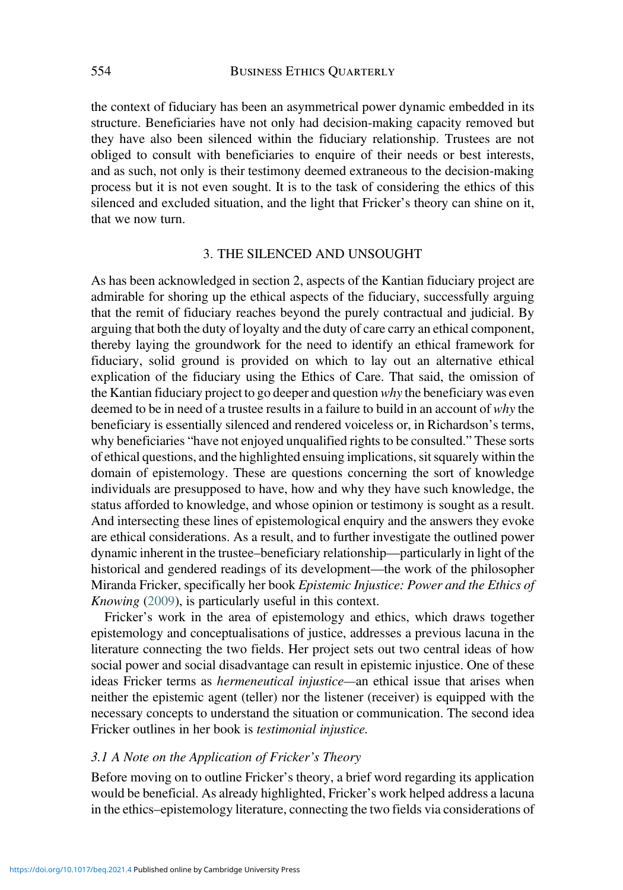the context of fiduciary has been an asymmetrical power dynamic embedded in its structure. Beneficiaries have not only had decision-making capacity removed but they have also been silenced within the fiduciary relationship. Trustees are not obliged to consult with beneficiaries to enquire of their needs or best interests, and as such, not only is their testimony deemed extraneous to the decision-making process but it is not even sought. It is to the task of considering the ethics of this silenced and excluded situation, and the light that Fricker's theory can shine on it, that we now turn.

#### 3. THE SILENCED AND UNSOUGHT

As has been acknowledged in section 2, aspects of the Kantian fiduciary project are admirable for shoring up the ethical aspects of the fiduciary, successfully arguing that the remit of fiduciary reaches beyond the purely contractual and judicial. By arguing that both the duty of loyalty and the duty of care carry an ethical component, thereby laying the groundwork for the need to identify an ethical framework for fiduciary, solid ground is provided on which to lay out an alternative ethical explication of the fiduciary using the Ethics of Care. That said, the omission of the Kantian fiduciary project to go deeper and question why the beneficiary was even deemed to be in need of a trustee results in a failure to build in an account of why the beneficiary is essentially silenced and rendered voiceless or, in Richardson's terms, why beneficiaries "have not enjoyed unqualified rights to be consulted." These sorts of ethical questions, and the highlighted ensuing implications, sit squarely within the domain of epistemology. These are questions concerning the sort of knowledge individuals are presupposed to have, how and why they have such knowledge, the status afforded to knowledge, and whose opinion or testimony is sought as a result. And intersecting these lines of epistemological enquiry and the answers they evoke are ethical considerations. As a result, and to further investigate the outlined power dynamic inherent in the trustee–beneficiary relationship—particularly in light of the historical and gendered readings of its development—the work of the philosopher Miranda Fricker, specifically her book Epistemic Injustice: Power and the Ethics of Knowing ([2009](#page-21-0)), is particularly useful in this context.

Fricker's work in the area of epistemology and ethics, which draws together epistemology and conceptualisations of justice, addresses a previous lacuna in the literature connecting the two fields. Her project sets out two central ideas of how social power and social disadvantage can result in epistemic injustice. One of these ideas Fricker terms as *hermeneutical injustice*—an ethical issue that arises when neither the epistemic agent (teller) nor the listener (receiver) is equipped with the necessary concepts to understand the situation or communication. The second idea Fricker outlines in her book is testimonial injustice.

## 3.1 A Note on the Application of Fricker's Theory

Before moving on to outline Fricker's theory, a brief word regarding its application would be beneficial. As already highlighted, Fricker's work helped address a lacuna in the ethics–epistemology literature, connecting the two fields via considerations of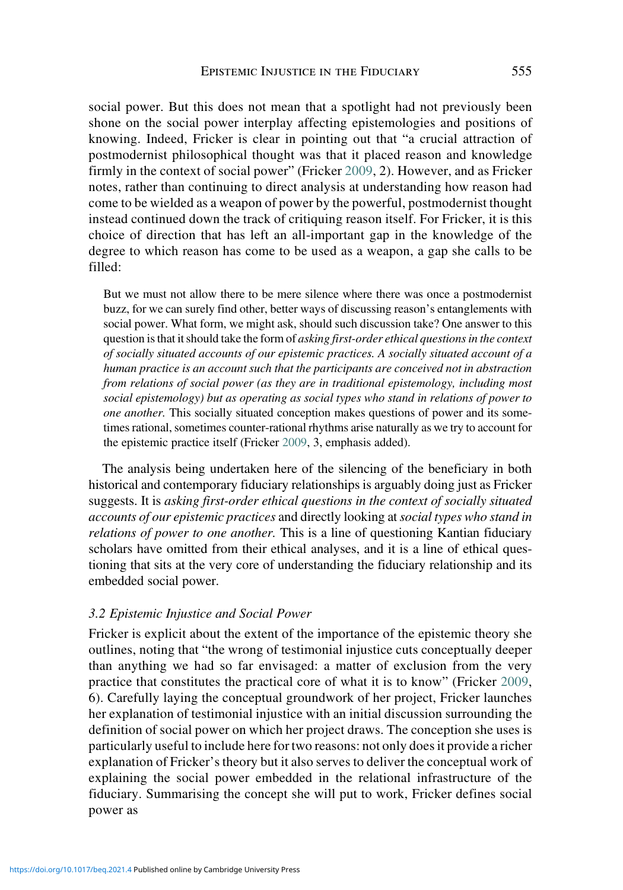social power. But this does not mean that a spotlight had not previously been shone on the social power interplay affecting epistemologies and positions of knowing. Indeed, Fricker is clear in pointing out that "a crucial attraction of postmodernist philosophical thought was that it placed reason and knowledge firmly in the context of social power" (Fricker [2009,](#page-21-0) 2). However, and as Fricker notes, rather than continuing to direct analysis at understanding how reason had come to be wielded as a weapon of power by the powerful, postmodernist thought instead continued down the track of critiquing reason itself. For Fricker, it is this choice of direction that has left an all-important gap in the knowledge of the degree to which reason has come to be used as a weapon, a gap she calls to be filled:

But we must not allow there to be mere silence where there was once a postmodernist buzz, for we can surely find other, better ways of discussing reason's entanglements with social power. What form, we might ask, should such discussion take? One answer to this question is that it should take the form of asking first-order ethical questions in the context of socially situated accounts of our epistemic practices. A socially situated account of a human practice is an account such that the participants are conceived not in abstraction from relations of social power (as they are in traditional epistemology, including most social epistemology) but as operating as social types who stand in relations of power to one another. This socially situated conception makes questions of power and its sometimes rational, sometimes counter-rational rhythms arise naturally as we try to account for the epistemic practice itself (Fricker [2009](#page-21-0), 3, emphasis added).

The analysis being undertaken here of the silencing of the beneficiary in both historical and contemporary fiduciary relationships is arguably doing just as Fricker suggests. It is asking first-order ethical questions in the context of socially situated accounts of our epistemic practices and directly looking at social types who stand in relations of power to one another. This is a line of questioning Kantian fiduciary scholars have omitted from their ethical analyses, and it is a line of ethical questioning that sits at the very core of understanding the fiduciary relationship and its embedded social power.

## 3.2 Epistemic Injustice and Social Power

Fricker is explicit about the extent of the importance of the epistemic theory she outlines, noting that "the wrong of testimonial injustice cuts conceptually deeper than anything we had so far envisaged: a matter of exclusion from the very practice that constitutes the practical core of what it is to know" (Fricker [2009,](#page-21-0) 6). Carefully laying the conceptual groundwork of her project, Fricker launches her explanation of testimonial injustice with an initial discussion surrounding the definition of social power on which her project draws. The conception she uses is particularly useful to include here for two reasons: not only does it provide a richer explanation of Fricker's theory but it also serves to deliver the conceptual work of explaining the social power embedded in the relational infrastructure of the fiduciary. Summarising the concept she will put to work, Fricker defines social power as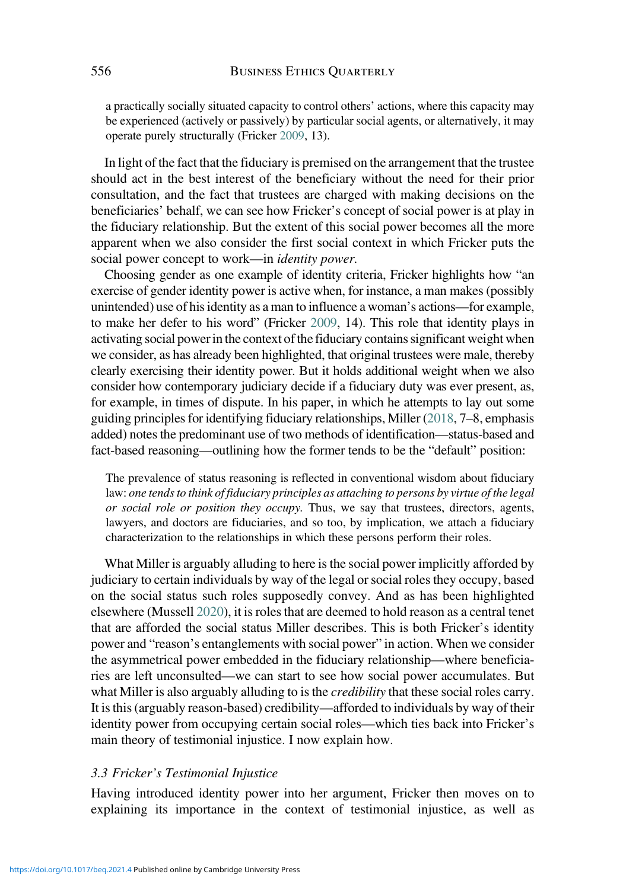a practically socially situated capacity to control others' actions, where this capacity may be experienced (actively or passively) by particular social agents, or alternatively, it may operate purely structurally (Fricker [2009](#page-21-0), 13).

In light of the fact that the fiduciary is premised on the arrangement that the trustee should act in the best interest of the beneficiary without the need for their prior consultation, and the fact that trustees are charged with making decisions on the beneficiaries' behalf, we can see how Fricker's concept of social power is at play in the fiduciary relationship. But the extent of this social power becomes all the more apparent when we also consider the first social context in which Fricker puts the social power concept to work—in *identity power*.

Choosing gender as one example of identity criteria, Fricker highlights how "an exercise of gender identity power is active when, for instance, a man makes (possibly unintended) use of his identity as a man to influence a woman's actions—for example, to make her defer to his word" (Fricker [2009,](#page-21-0) 14). This role that identity plays in activating social power in the context of the fiduciary contains significant weight when we consider, as has already been highlighted, that original trustees were male, thereby clearly exercising their identity power. But it holds additional weight when we also consider how contemporary judiciary decide if a fiduciary duty was ever present, as, for example, in times of dispute. In his paper, in which he attempts to lay out some guiding principles for identifying fiduciary relationships, Miller ([2018](#page-21-0), 7–8, emphasis added) notes the predominant use of two methods of identification—status-based and fact-based reasoning—outlining how the former tends to be the "default" position:

The prevalence of status reasoning is reflected in conventional wisdom about fiduciary law: one tends to think of fiduciary principles as attaching to persons by virtue of the legal or social role or position they occupy. Thus, we say that trustees, directors, agents, lawyers, and doctors are fiduciaries, and so too, by implication, we attach a fiduciary characterization to the relationships in which these persons perform their roles.

What Miller is arguably alluding to here is the social power implicitly afforded by judiciary to certain individuals by way of the legal or social roles they occupy, based on the social status such roles supposedly convey. And as has been highlighted elsewhere (Mussell [2020\)](#page-21-0), it is roles that are deemed to hold reason as a central tenet that are afforded the social status Miller describes. This is both Fricker's identity power and "reason's entanglements with social power" in action. When we consider the asymmetrical power embedded in the fiduciary relationship—where beneficiaries are left unconsulted—we can start to see how social power accumulates. But what Miller is also arguably alluding to is the *credibility* that these social roles carry. It is this (arguably reason-based) credibility—afforded to individuals by way of their identity power from occupying certain social roles—which ties back into Fricker's main theory of testimonial injustice. I now explain how.

## 3.3 Fricker's Testimonial Injustice

Having introduced identity power into her argument, Fricker then moves on to explaining its importance in the context of testimonial injustice, as well as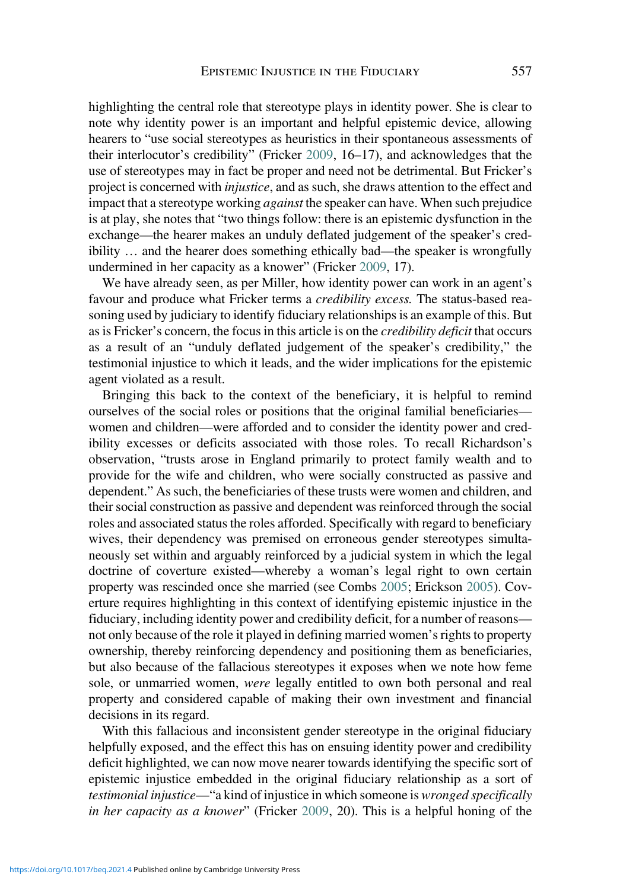highlighting the central role that stereotype plays in identity power. She is clear to note why identity power is an important and helpful epistemic device, allowing hearers to "use social stereotypes as heuristics in their spontaneous assessments of their interlocutor's credibility" (Fricker [2009,](#page-21-0) 16–17), and acknowledges that the use of stereotypes may in fact be proper and need not be detrimental. But Fricker's project is concerned with injustice, and as such, she draws attention to the effect and impact that a stereotype working *against* the speaker can have. When such prejudice is at play, she notes that "two things follow: there is an epistemic dysfunction in the exchange—the hearer makes an unduly deflated judgement of the speaker's credibility … and the hearer does something ethically bad—the speaker is wrongfully undermined in her capacity as a knower" (Fricker [2009,](#page-21-0) 17).

We have already seen, as per Miller, how identity power can work in an agent's favour and produce what Fricker terms a *credibility excess*. The status-based reasoning used by judiciary to identify fiduciary relationships is an example of this. But as is Fricker's concern, the focus in this article is on the credibility deficit that occurs as a result of an "unduly deflated judgement of the speaker's credibility," the testimonial injustice to which it leads, and the wider implications for the epistemic agent violated as a result.

Bringing this back to the context of the beneficiary, it is helpful to remind ourselves of the social roles or positions that the original familial beneficiaries women and children—were afforded and to consider the identity power and credibility excesses or deficits associated with those roles. To recall Richardson's observation, "trusts arose in England primarily to protect family wealth and to provide for the wife and children, who were socially constructed as passive and dependent." As such, the beneficiaries of these trusts were women and children, and their social construction as passive and dependent was reinforced through the social roles and associated status the roles afforded. Specifically with regard to beneficiary wives, their dependency was premised on erroneous gender stereotypes simultaneously set within and arguably reinforced by a judicial system in which the legal doctrine of coverture existed—whereby a woman's legal right to own certain property was rescinded once she married (see Combs [2005;](#page-20-0) Erickson [2005](#page-20-0)). Coverture requires highlighting in this context of identifying epistemic injustice in the fiduciary, including identity power and credibility deficit, for a number of reasons not only because of the role it played in defining married women's rights to property ownership, thereby reinforcing dependency and positioning them as beneficiaries, but also because of the fallacious stereotypes it exposes when we note how feme sole, or unmarried women, were legally entitled to own both personal and real property and considered capable of making their own investment and financial decisions in its regard.

With this fallacious and inconsistent gender stereotype in the original fiduciary helpfully exposed, and the effect this has on ensuing identity power and credibility deficit highlighted, we can now move nearer towards identifying the specific sort of epistemic injustice embedded in the original fiduciary relationship as a sort of testimonial injustice—"a kind of injustice in which someone is wronged specifically in her capacity as a knower" (Fricker [2009](#page-21-0), 20). This is a helpful honing of the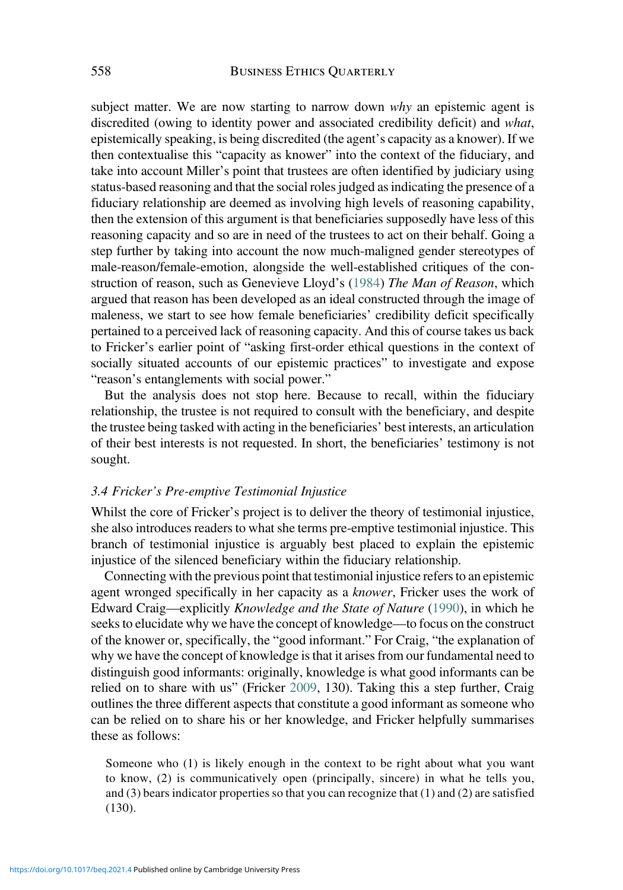subject matter. We are now starting to narrow down why an epistemic agent is discredited (owing to identity power and associated credibility deficit) and what, epistemically speaking, is being discredited (the agent's capacity as a knower). If we then contextualise this "capacity as knower" into the context of the fiduciary, and take into account Miller's point that trustees are often identified by judiciary using status-based reasoning and that the social roles judged as indicating the presence of a fiduciary relationship are deemed as involving high levels of reasoning capability, then the extension of this argument is that beneficiaries supposedly have less of this reasoning capacity and so are in need of the trustees to act on their behalf. Going a step further by taking into account the now much-maligned gender stereotypes of male-reason/female-emotion, alongside the well-established critiques of the construction of reason, such as Genevieve Lloyd's ([1984](#page-21-0)) The Man of Reason, which argued that reason has been developed as an ideal constructed through the image of maleness, we start to see how female beneficiaries' credibility deficit specifically pertained to a perceived lack of reasoning capacity. And this of course takes us back to Fricker's earlier point of "asking first-order ethical questions in the context of socially situated accounts of our epistemic practices" to investigate and expose "reason's entanglements with social power."

But the analysis does not stop here. Because to recall, within the fiduciary relationship, the trustee is not required to consult with the beneficiary, and despite the trustee being tasked with acting in the beneficiaries' best interests, an articulation of their best interests is not requested. In short, the beneficiaries' testimony is not sought.

#### 3.4 Fricker's Pre-emptive Testimonial Injustice

Whilst the core of Fricker's project is to deliver the theory of testimonial injustice, she also introduces readers to what she terms pre-emptive testimonial injustice. This branch of testimonial injustice is arguably best placed to explain the epistemic injustice of the silenced beneficiary within the fiduciary relationship.

Connecting with the previous point that testimonial injustice refers to an epistemic agent wronged specifically in her capacity as a knower, Fricker uses the work of Edward Craig—explicitly Knowledge and the State of Nature ([1990\)](#page-20-0), in which he seeks to elucidate why we have the concept of knowledge—to focus on the construct of the knower or, specifically, the "good informant." For Craig, "the explanation of why we have the concept of knowledge is that it arises from our fundamental need to distinguish good informants: originally, knowledge is what good informants can be relied on to share with us" (Fricker [2009](#page-21-0), 130). Taking this a step further, Craig outlines the three different aspects that constitute a good informant as someone who can be relied on to share his or her knowledge, and Fricker helpfully summarises these as follows:

Someone who (1) is likely enough in the context to be right about what you want to know, (2) is communicatively open (principally, sincere) in what he tells you, and (3) bears indicator properties so that you can recognize that (1) and (2) are satisfied (130).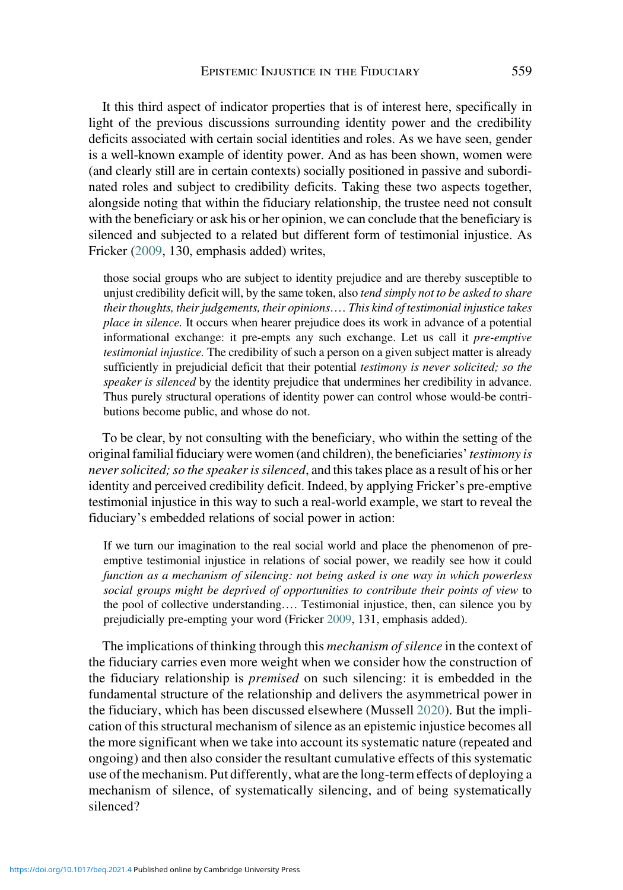It this third aspect of indicator properties that is of interest here, specifically in light of the previous discussions surrounding identity power and the credibility deficits associated with certain social identities and roles. As we have seen, gender is a well-known example of identity power. And as has been shown, women were (and clearly still are in certain contexts) socially positioned in passive and subordinated roles and subject to credibility deficits. Taking these two aspects together, alongside noting that within the fiduciary relationship, the trustee need not consult with the beneficiary or ask his or her opinion, we can conclude that the beneficiary is silenced and subjected to a related but different form of testimonial injustice. As Fricker [\(2009](#page-21-0), 130, emphasis added) writes,

those social groups who are subject to identity prejudice and are thereby susceptible to unjust credibility deficit will, by the same token, also tend simply not to be asked to share their thoughts, their judgements, their opinions.… This kind of testimonial injustice takes place in silence. It occurs when hearer prejudice does its work in advance of a potential informational exchange: it pre-empts any such exchange. Let us call it pre-emptive testimonial injustice. The credibility of such a person on a given subject matter is already sufficiently in prejudicial deficit that their potential *testimony is never solicited*; so the speaker is silenced by the identity prejudice that undermines her credibility in advance. Thus purely structural operations of identity power can control whose would-be contributions become public, and whose do not.

To be clear, by not consulting with the beneficiary, who within the setting of the original familial fiduciary were women (and children), the beneficiaries' testimony is never solicited; so the speaker is silenced, and this takes place as a result of his or her identity and perceived credibility deficit. Indeed, by applying Fricker's pre-emptive testimonial injustice in this way to such a real-world example, we start to reveal the fiduciary's embedded relations of social power in action:

If we turn our imagination to the real social world and place the phenomenon of preemptive testimonial injustice in relations of social power, we readily see how it could function as a mechanism of silencing: not being asked is one way in which powerless social groups might be deprived of opportunities to contribute their points of view to the pool of collective understanding.… Testimonial injustice, then, can silence you by prejudicially pre-empting your word (Fricker [2009](#page-21-0), 131, emphasis added).

The implications of thinking through this *mechanism of silence* in the context of the fiduciary carries even more weight when we consider how the construction of the fiduciary relationship is premised on such silencing: it is embedded in the fundamental structure of the relationship and delivers the asymmetrical power in the fiduciary, which has been discussed elsewhere (Mussell [2020\)](#page-21-0). But the implication of this structural mechanism of silence as an epistemic injustice becomes all the more significant when we take into account its systematic nature (repeated and ongoing) and then also consider the resultant cumulative effects of this systematic use of the mechanism. Put differently, what are the long-term effects of deploying a mechanism of silence, of systematically silencing, and of being systematically silenced?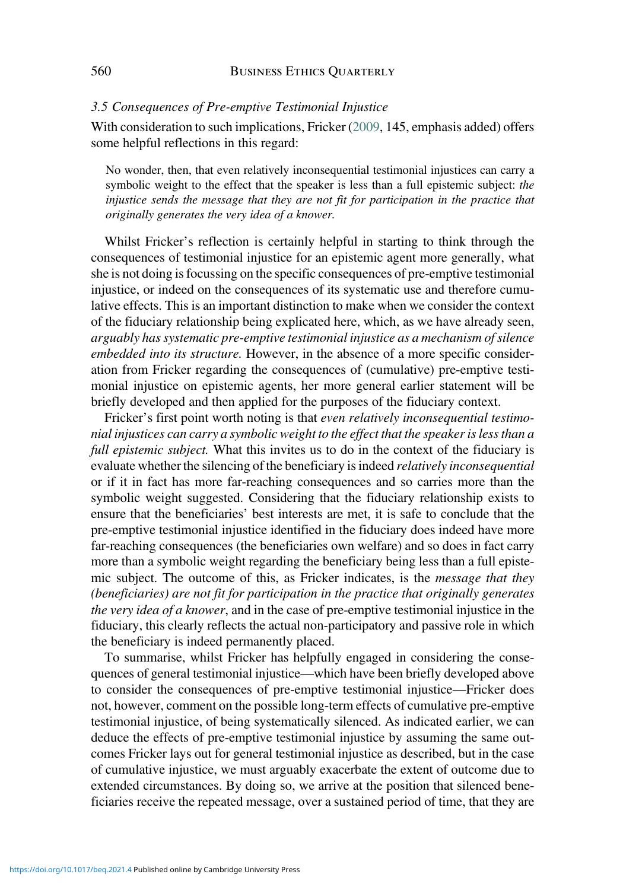#### 3.5 Consequences of Pre-emptive Testimonial Injustice

With consideration to such implications, Fricker [\(2009](#page-21-0), 145, emphasis added) offers some helpful reflections in this regard:

No wonder, then, that even relatively inconsequential testimonial injustices can carry a symbolic weight to the effect that the speaker is less than a full epistemic subject: the injustice sends the message that they are not fit for participation in the practice that originally generates the very idea of a knower.

Whilst Fricker's reflection is certainly helpful in starting to think through the consequences of testimonial injustice for an epistemic agent more generally, what she is not doing is focussing on the specific consequences of pre-emptive testimonial injustice, or indeed on the consequences of its systematic use and therefore cumulative effects. This is an important distinction to make when we consider the context of the fiduciary relationship being explicated here, which, as we have already seen, arguably has systematic pre-emptive testimonial injustice as a mechanism of silence embedded into its structure. However, in the absence of a more specific consideration from Fricker regarding the consequences of (cumulative) pre-emptive testimonial injustice on epistemic agents, her more general earlier statement will be briefly developed and then applied for the purposes of the fiduciary context.

Fricker's first point worth noting is that even relatively inconsequential testimonial injustices can carry a symbolic weight to the effect that the speaker is less than a full epistemic subject. What this invites us to do in the context of the fiduciary is evaluate whether the silencing of the beneficiary is indeed relatively inconsequential or if it in fact has more far-reaching consequences and so carries more than the symbolic weight suggested. Considering that the fiduciary relationship exists to ensure that the beneficiaries' best interests are met, it is safe to conclude that the pre-emptive testimonial injustice identified in the fiduciary does indeed have more far-reaching consequences (the beneficiaries own welfare) and so does in fact carry more than a symbolic weight regarding the beneficiary being less than a full epistemic subject. The outcome of this, as Fricker indicates, is the message that they (beneficiaries) are not fit for participation in the practice that originally generates the very idea of a knower, and in the case of pre-emptive testimonial injustice in the fiduciary, this clearly reflects the actual non-participatory and passive role in which the beneficiary is indeed permanently placed.

To summarise, whilst Fricker has helpfully engaged in considering the consequences of general testimonial injustice—which have been briefly developed above to consider the consequences of pre-emptive testimonial injustice—Fricker does not, however, comment on the possible long-term effects of cumulative pre-emptive testimonial injustice, of being systematically silenced. As indicated earlier, we can deduce the effects of pre-emptive testimonial injustice by assuming the same outcomes Fricker lays out for general testimonial injustice as described, but in the case of cumulative injustice, we must arguably exacerbate the extent of outcome due to extended circumstances. By doing so, we arrive at the position that silenced beneficiaries receive the repeated message, over a sustained period of time, that they are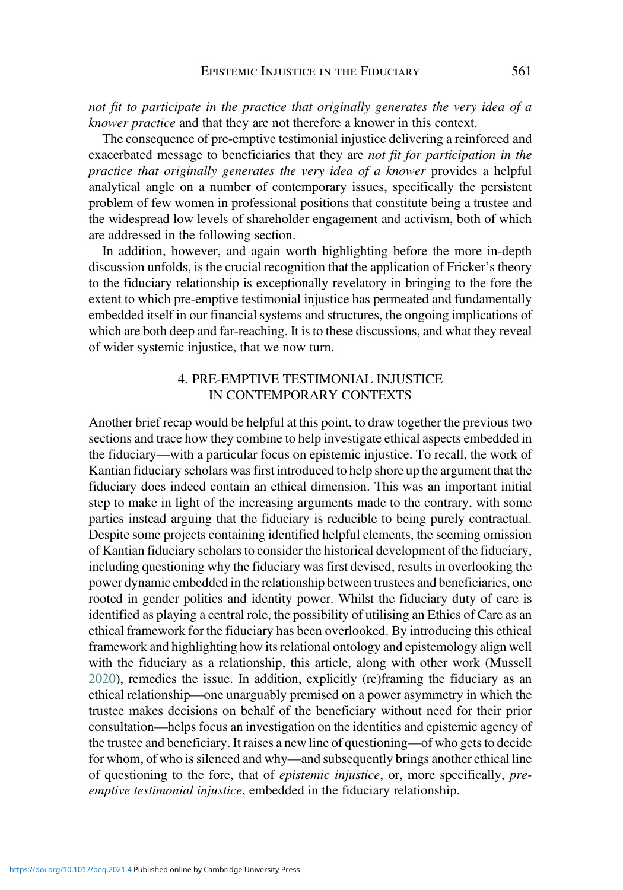not fit to participate in the practice that originally generates the very idea of a knower practice and that they are not therefore a knower in this context.

The consequence of pre-emptive testimonial injustice delivering a reinforced and exacerbated message to beneficiaries that they are not fit for participation in the practice that originally generates the very idea of a knower provides a helpful analytical angle on a number of contemporary issues, specifically the persistent problem of few women in professional positions that constitute being a trustee and the widespread low levels of shareholder engagement and activism, both of which are addressed in the following section.

In addition, however, and again worth highlighting before the more in-depth discussion unfolds, is the crucial recognition that the application of Fricker's theory to the fiduciary relationship is exceptionally revelatory in bringing to the fore the extent to which pre-emptive testimonial injustice has permeated and fundamentally embedded itself in our financial systems and structures, the ongoing implications of which are both deep and far-reaching. It is to these discussions, and what they reveal of wider systemic injustice, that we now turn.

## 4. PRE-EMPTIVE TESTIMONIAL INJUSTICE IN CONTEMPORARY CONTEXTS

Another brief recap would be helpful at this point, to draw together the previous two sections and trace how they combine to help investigate ethical aspects embedded in the fiduciary—with a particular focus on epistemic injustice. To recall, the work of Kantian fiduciary scholars was first introduced to help shore up the argument that the fiduciary does indeed contain an ethical dimension. This was an important initial step to make in light of the increasing arguments made to the contrary, with some parties instead arguing that the fiduciary is reducible to being purely contractual. Despite some projects containing identified helpful elements, the seeming omission of Kantian fiduciary scholars to consider the historical development of the fiduciary, including questioning why the fiduciary was first devised, results in overlooking the power dynamic embedded in the relationship between trustees and beneficiaries, one rooted in gender politics and identity power. Whilst the fiduciary duty of care is identified as playing a central role, the possibility of utilising an Ethics of Care as an ethical framework for the fiduciary has been overlooked. By introducing this ethical framework and highlighting how its relational ontology and epistemology align well with the fiduciary as a relationship, this article, along with other work (Mussell [2020\)](#page-21-0), remedies the issue. In addition, explicitly (re)framing the fiduciary as an ethical relationship—one unarguably premised on a power asymmetry in which the trustee makes decisions on behalf of the beneficiary without need for their prior consultation—helps focus an investigation on the identities and epistemic agency of the trustee and beneficiary. It raises a new line of questioning—of who gets to decide for whom, of who is silenced and why—and subsequently brings another ethical line of questioning to the fore, that of epistemic injustice, or, more specifically, preemptive testimonial injustice, embedded in the fiduciary relationship.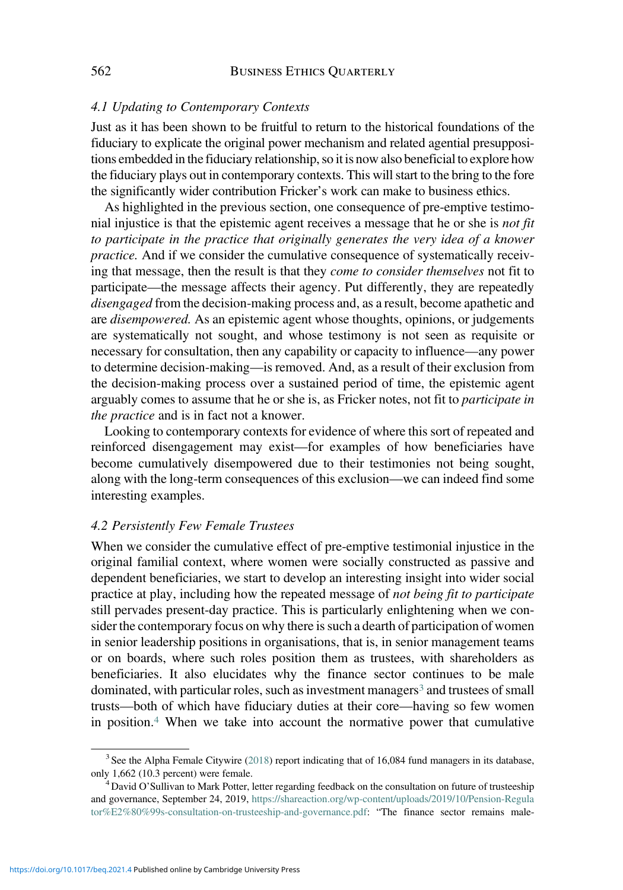#### 4.1 Updating to Contemporary Contexts

Just as it has been shown to be fruitful to return to the historical foundations of the fiduciary to explicate the original power mechanism and related agential presuppositions embedded in the fiduciary relationship, so it is now also beneficial to explore how the fiduciary plays out in contemporary contexts. This will start to the bring to the fore the significantly wider contribution Fricker's work can make to business ethics.

As highlighted in the previous section, one consequence of pre-emptive testimonial injustice is that the epistemic agent receives a message that he or she is not fit to participate in the practice that originally generates the very idea of a knower practice. And if we consider the cumulative consequence of systematically receiving that message, then the result is that they come to consider themselves not fit to participate—the message affects their agency. Put differently, they are repeatedly disengaged from the decision-making process and, as a result, become apathetic and are *disempowered*. As an epistemic agent whose thoughts, opinions, or judgements are systematically not sought, and whose testimony is not seen as requisite or necessary for consultation, then any capability or capacity to influence—any power to determine decision-making—is removed. And, as a result of their exclusion from the decision-making process over a sustained period of time, the epistemic agent arguably comes to assume that he or she is, as Fricker notes, not fit to participate in the practice and is in fact not a knower.

Looking to contemporary contexts for evidence of where this sort of repeated and reinforced disengagement may exist—for examples of how beneficiaries have become cumulatively disempowered due to their testimonies not being sought, along with the long-term consequences of this exclusion—we can indeed find some interesting examples.

#### 4.2 Persistently Few Female Trustees

When we consider the cumulative effect of pre-emptive testimonial injustice in the original familial context, where women were socially constructed as passive and dependent beneficiaries, we start to develop an interesting insight into wider social practice at play, including how the repeated message of not being fit to participate still pervades present-day practice. This is particularly enlightening when we consider the contemporary focus on why there is such a dearth of participation of women in senior leadership positions in organisations, that is, in senior management teams or on boards, where such roles position them as trustees, with shareholders as beneficiaries. It also elucidates why the finance sector continues to be male dominated, with particular roles, such as investment managers<sup>3</sup> and trustees of small trusts—both of which have fiduciary duties at their core—having so few women in position. $4$  When we take into account the normative power that cumulative

 $3$  See the Alpha Female Citywire ([2018\)](#page-20-0) report indicating that of 16,084 fund managers in its database, only 1,662 (10.3 percent) were female.<br><sup>4</sup>David O'Sullivan to Mark Potter, letter regarding feedback on the consultation on future of trusteeship

and governance, September 24, 2019, [https://shareaction.org/wp-content/uploads/2019/10/Pension-Regula](https://shareaction.org/wp-content/uploads/2019/10/Pension-Regulator%E2%80%99s-consultation-on-trusteeship-and-governance.pdf) [tor%E2%80%99s-consultation-on-trusteeship-and-governance.pdf:](https://shareaction.org/wp-content/uploads/2019/10/Pension-Regulator%E2%80%99s-consultation-on-trusteeship-and-governance.pdf) "The finance sector remains male-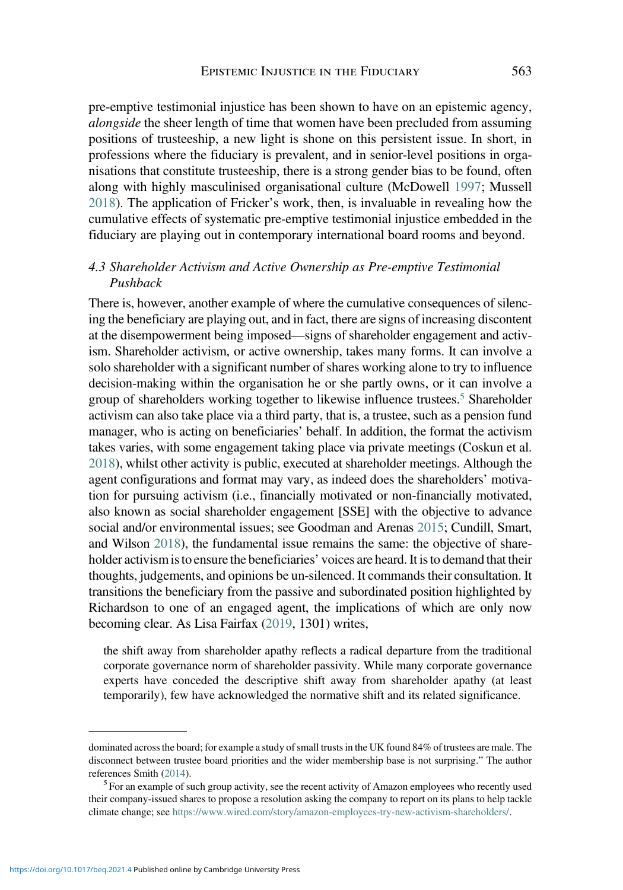pre-emptive testimonial injustice has been shown to have on an epistemic agency, alongside the sheer length of time that women have been precluded from assuming positions of trusteeship, a new light is shone on this persistent issue. In short, in professions where the fiduciary is prevalent, and in senior-level positions in organisations that constitute trusteeship, there is a strong gender bias to be found, often along with highly masculinised organisational culture (McDowell [1997](#page-21-0); Mussell [2018\)](#page-21-0). The application of Fricker's work, then, is invaluable in revealing how the cumulative effects of systematic pre-emptive testimonial injustice embedded in the fiduciary are playing out in contemporary international board rooms and beyond.

## 4.3 Shareholder Activism and Active Ownership as Pre-emptive Testimonial Pushback

There is, however, another example of where the cumulative consequences of silencing the beneficiary are playing out, and in fact, there are signs of increasing discontent at the disempowerment being imposed—signs of shareholder engagement and activism. Shareholder activism, or active ownership, takes many forms. It can involve a solo shareholder with a significant number of shares working alone to try to influence decision-making within the organisation he or she partly owns, or it can involve a group of shareholders working together to likewise influence trustees.<sup>5</sup> Shareholder activism can also take place via a third party, that is, a trustee, such as a pension fund manager, who is acting on beneficiaries' behalf. In addition, the format the activism takes varies, with some engagement taking place via private meetings (Coskun et al. [2018](#page-20-0)), whilst other activity is public, executed at shareholder meetings. Although the agent configurations and format may vary, as indeed does the shareholders' motivation for pursuing activism (i.e., financially motivated or non-financially motivated, also known as social shareholder engagement [SSE] with the objective to advance social and/or environmental issues; see Goodman and Arenas [2015](#page-21-0); Cundill, Smart, and Wilson [2018](#page-20-0)), the fundamental issue remains the same: the objective of shareholder activism is to ensure the beneficiaries' voices are heard. It is to demand that their thoughts, judgements, and opinions be un-silenced. It commands their consultation. It transitions the beneficiary from the passive and subordinated position highlighted by Richardson to one of an engaged agent, the implications of which are only now becoming clear. As Lisa Fairfax ([2019](#page-20-0), 1301) writes,

the shift away from shareholder apathy reflects a radical departure from the traditional corporate governance norm of shareholder passivity. While many corporate governance experts have conceded the descriptive shift away from shareholder apathy (at least temporarily), few have acknowledged the normative shift and its related significance.

dominated across the board; for example a study of small trusts in the UK found 84% of trustees are male. The disconnect between trustee board priorities and the wider membership base is not surprising." The author references Smith [\(2014](#page-22-0)).<br><sup>5</sup> For an example of such group activity, see the recent activity of Amazon employees who recently used

their company-issued shares to propose a resolution asking the company to report on its plans to help tackle climate change; see <https://www.wired.com/story/amazon-employees-try-new-activism-shareholders/>.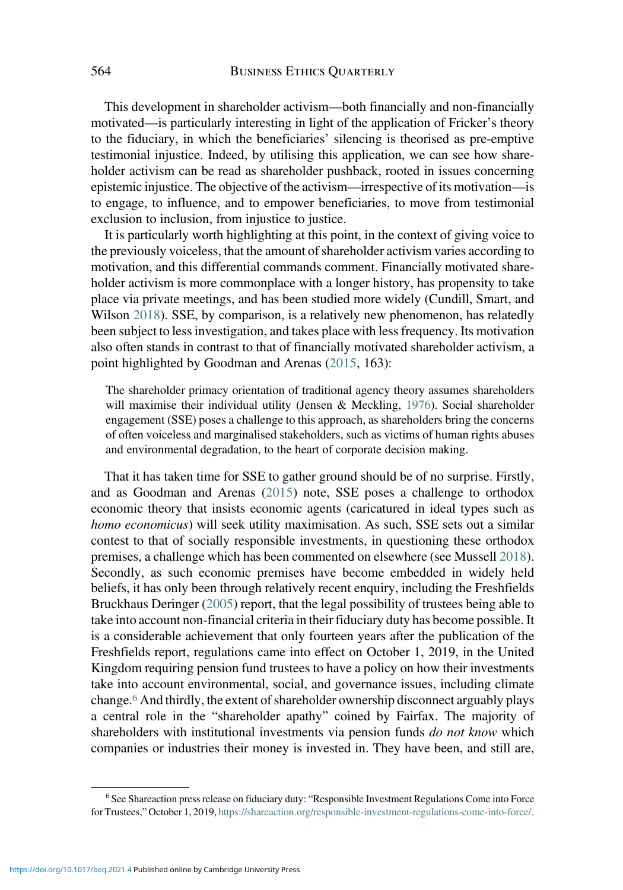This development in shareholder activism—both financially and non-financially motivated—is particularly interesting in light of the application of Fricker's theory to the fiduciary, in which the beneficiaries' silencing is theorised as pre-emptive testimonial injustice. Indeed, by utilising this application, we can see how shareholder activism can be read as shareholder pushback, rooted in issues concerning epistemic injustice. The objective of the activism—irrespective of its motivation—is to engage, to influence, and to empower beneficiaries, to move from testimonial exclusion to inclusion, from injustice to justice.

It is particularly worth highlighting at this point, in the context of giving voice to the previously voiceless, that the amount of shareholder activism varies according to motivation, and this differential commands comment. Financially motivated shareholder activism is more commonplace with a longer history, has propensity to take place via private meetings, and has been studied more widely (Cundill, Smart, and Wilson [2018\)](#page-20-0). SSE, by comparison, is a relatively new phenomenon, has relatedly been subject to less investigation, and takes place with less frequency. Its motivation also often stands in contrast to that of financially motivated shareholder activism, a point highlighted by Goodman and Arenas ([2015,](#page-21-0) 163):

The shareholder primacy orientation of traditional agency theory assumes shareholders will maximise their individual utility (Jensen & Meckling, [1976](#page-21-0)). Social shareholder engagement (SSE) poses a challenge to this approach, as shareholders bring the concerns of often voiceless and marginalised stakeholders, such as victims of human rights abuses and environmental degradation, to the heart of corporate decision making.

That it has taken time for SSE to gather ground should be of no surprise. Firstly, and as Goodman and Arenas [\(2015](#page-21-0)) note, SSE poses a challenge to orthodox economic theory that insists economic agents (caricatured in ideal types such as homo economicus) will seek utility maximisation. As such, SSE sets out a similar contest to that of socially responsible investments, in questioning these orthodox premises, a challenge which has been commented on elsewhere (see Mussell [2018\)](#page-21-0). Secondly, as such economic premises have become embedded in widely held beliefs, it has only been through relatively recent enquiry, including the Freshfields Bruckhaus Deringer ([2005\)](#page-21-0) report, that the legal possibility of trustees being able to take into account non-financial criteria in their fiduciary duty has become possible. It is a considerable achievement that only fourteen years after the publication of the Freshfields report, regulations came into effect on October 1, 2019, in the United Kingdom requiring pension fund trustees to have a policy on how their investments take into account environmental, social, and governance issues, including climate change.<sup>6</sup> And thirdly, the extent of shareholder ownership disconnect arguably plays a central role in the "shareholder apathy" coined by Fairfax. The majority of shareholders with institutional investments via pension funds *do not know* which companies or industries their money is invested in. They have been, and still are,

<sup>&</sup>lt;sup>6</sup> See Shareaction press release on fiduciary duty: "Responsible Investment Regulations Come into Force for Trustees," October 1, 2019, <https://shareaction.org/responsible-investment-regulations-come-into-force/>.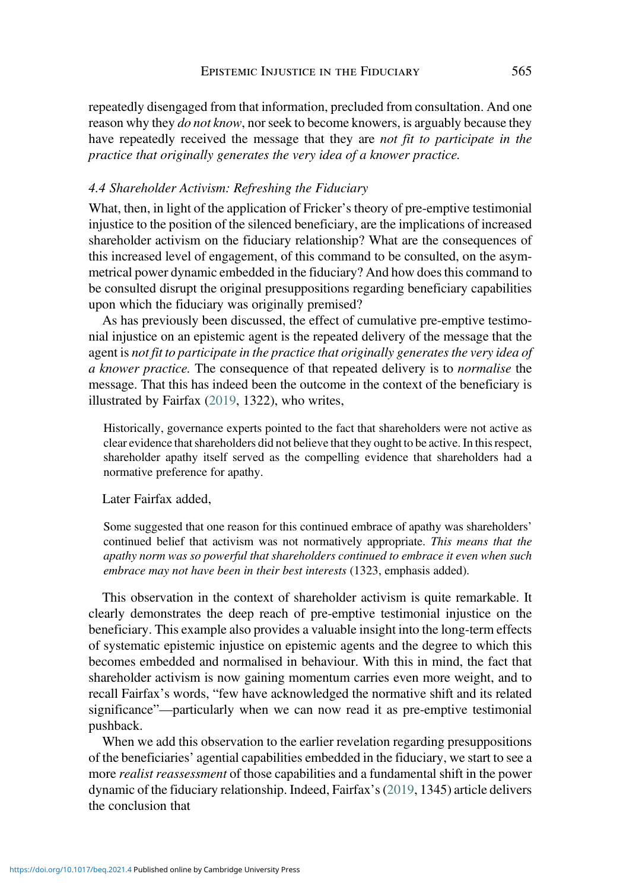repeatedly disengaged from that information, precluded from consultation. And one reason why they *do not know*, nor seek to become knowers, is arguably because they have repeatedly received the message that they are not fit to participate in the practice that originally generates the very idea of a knower practice.

## 4.4 Shareholder Activism: Refreshing the Fiduciary

What, then, in light of the application of Fricker's theory of pre-emptive testimonial injustice to the position of the silenced beneficiary, are the implications of increased shareholder activism on the fiduciary relationship? What are the consequences of this increased level of engagement, of this command to be consulted, on the asymmetrical power dynamic embedded in the fiduciary? And how does this command to be consulted disrupt the original presuppositions regarding beneficiary capabilities upon which the fiduciary was originally premised?

As has previously been discussed, the effect of cumulative pre-emptive testimonial injustice on an epistemic agent is the repeated delivery of the message that the agent is not fit to participate in the practice that originally generates the very idea of a knower practice. The consequence of that repeated delivery is to normalise the message. That this has indeed been the outcome in the context of the beneficiary is illustrated by Fairfax [\(2019,](#page-20-0) 1322), who writes,

Historically, governance experts pointed to the fact that shareholders were not active as clear evidence that shareholders did not believe that they ought to be active. In this respect, shareholder apathy itself served as the compelling evidence that shareholders had a normative preference for apathy.

Later Fairfax added,

Some suggested that one reason for this continued embrace of apathy was shareholders' continued belief that activism was not normatively appropriate. This means that the apathy norm was so powerful that shareholders continued to embrace it even when such embrace may not have been in their best interests (1323, emphasis added).

This observation in the context of shareholder activism is quite remarkable. It clearly demonstrates the deep reach of pre-emptive testimonial injustice on the beneficiary. This example also provides a valuable insight into the long-term effects of systematic epistemic injustice on epistemic agents and the degree to which this becomes embedded and normalised in behaviour. With this in mind, the fact that shareholder activism is now gaining momentum carries even more weight, and to recall Fairfax's words, "few have acknowledged the normative shift and its related significance"—particularly when we can now read it as pre-emptive testimonial pushback.

When we add this observation to the earlier revelation regarding presuppositions of the beneficiaries' agential capabilities embedded in the fiduciary, we start to see a more *realist reassessment* of those capabilities and a fundamental shift in the power dynamic of the fiduciary relationship. Indeed, Fairfax's [\(2019](#page-20-0), 1345) article delivers the conclusion that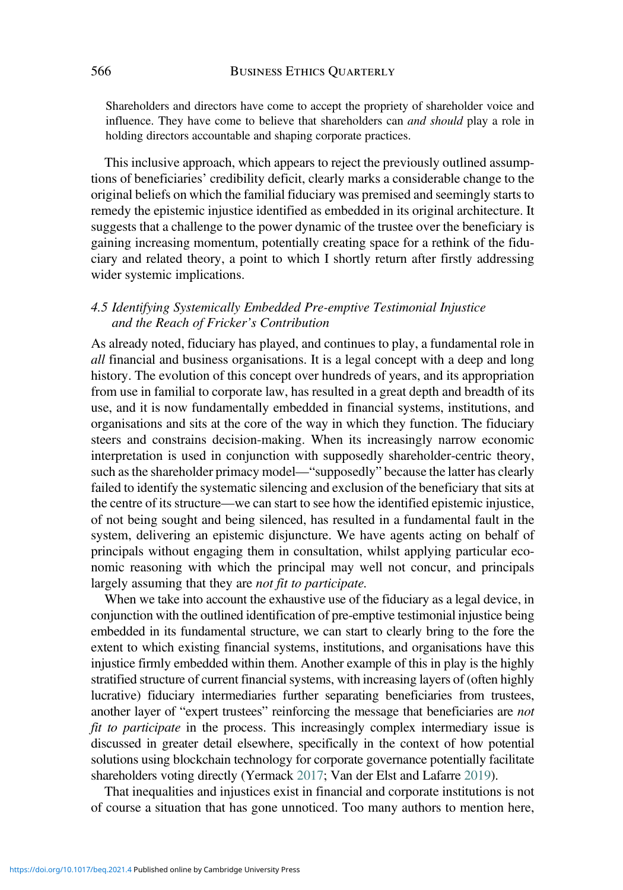Shareholders and directors have come to accept the propriety of shareholder voice and influence. They have come to believe that shareholders can and should play a role in holding directors accountable and shaping corporate practices.

This inclusive approach, which appears to reject the previously outlined assumptions of beneficiaries' credibility deficit, clearly marks a considerable change to the original beliefs on which the familial fiduciary was premised and seemingly starts to remedy the epistemic injustice identified as embedded in its original architecture. It suggests that a challenge to the power dynamic of the trustee over the beneficiary is gaining increasing momentum, potentially creating space for a rethink of the fiduciary and related theory, a point to which I shortly return after firstly addressing wider systemic implications.

## 4.5 Identifying Systemically Embedded Pre-emptive Testimonial Injustice and the Reach of Fricker's Contribution

As already noted, fiduciary has played, and continues to play, a fundamental role in all financial and business organisations. It is a legal concept with a deep and long history. The evolution of this concept over hundreds of years, and its appropriation from use in familial to corporate law, has resulted in a great depth and breadth of its use, and it is now fundamentally embedded in financial systems, institutions, and organisations and sits at the core of the way in which they function. The fiduciary steers and constrains decision-making. When its increasingly narrow economic interpretation is used in conjunction with supposedly shareholder-centric theory, such as the shareholder primacy model—"supposedly" because the latter has clearly failed to identify the systematic silencing and exclusion of the beneficiary that sits at the centre of its structure—we can start to see how the identified epistemic injustice, of not being sought and being silenced, has resulted in a fundamental fault in the system, delivering an epistemic disjuncture. We have agents acting on behalf of principals without engaging them in consultation, whilst applying particular economic reasoning with which the principal may well not concur, and principals largely assuming that they are not fit to participate.

When we take into account the exhaustive use of the fiduciary as a legal device, in conjunction with the outlined identification of pre-emptive testimonial injustice being embedded in its fundamental structure, we can start to clearly bring to the fore the extent to which existing financial systems, institutions, and organisations have this injustice firmly embedded within them. Another example of this in play is the highly stratified structure of current financial systems, with increasing layers of (often highly lucrative) fiduciary intermediaries further separating beneficiaries from trustees, another layer of "expert trustees" reinforcing the message that beneficiaries are not fit to participate in the process. This increasingly complex intermediary issue is discussed in greater detail elsewhere, specifically in the context of how potential solutions using blockchain technology for corporate governance potentially facilitate shareholders voting directly (Yermack [2017;](#page-22-0) Van der Elst and Lafarre [2019](#page-22-0)).

That inequalities and injustices exist in financial and corporate institutions is not of course a situation that has gone unnoticed. Too many authors to mention here,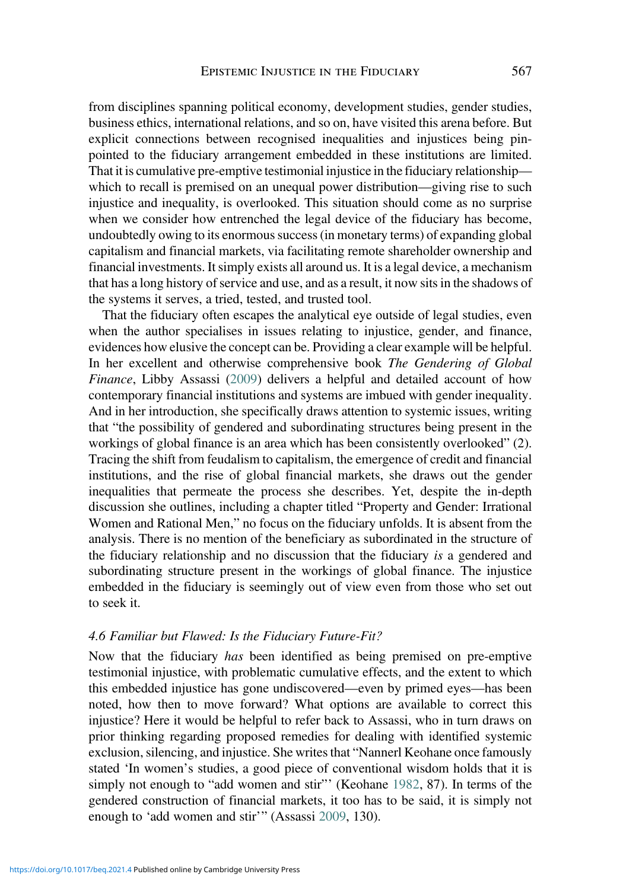from disciplines spanning political economy, development studies, gender studies, business ethics, international relations, and so on, have visited this arena before. But explicit connections between recognised inequalities and injustices being pinpointed to the fiduciary arrangement embedded in these institutions are limited. That it is cumulative pre-emptive testimonial injustice in the fiduciary relationship which to recall is premised on an unequal power distribution—giving rise to such injustice and inequality, is overlooked. This situation should come as no surprise when we consider how entrenched the legal device of the fiduciary has become, undoubtedly owing to its enormous success (in monetary terms) of expanding global capitalism and financial markets, via facilitating remote shareholder ownership and financial investments. It simply exists all around us. It is a legal device, a mechanism that has a long history of service and use, and as a result, it now sits in the shadows of the systems it serves, a tried, tested, and trusted tool.

That the fiduciary often escapes the analytical eye outside of legal studies, even when the author specialises in issues relating to injustice, gender, and finance, evidences how elusive the concept can be. Providing a clear example will be helpful. In her excellent and otherwise comprehensive book The Gendering of Global Finance, Libby Assassi [\(2009](#page-20-0)) delivers a helpful and detailed account of how contemporary financial institutions and systems are imbued with gender inequality. And in her introduction, she specifically draws attention to systemic issues, writing that "the possibility of gendered and subordinating structures being present in the workings of global finance is an area which has been consistently overlooked" (2). Tracing the shift from feudalism to capitalism, the emergence of credit and financial institutions, and the rise of global financial markets, she draws out the gender inequalities that permeate the process she describes. Yet, despite the in-depth discussion she outlines, including a chapter titled "Property and Gender: Irrational Women and Rational Men," no focus on the fiduciary unfolds. It is absent from the analysis. There is no mention of the beneficiary as subordinated in the structure of the fiduciary relationship and no discussion that the fiduciary is a gendered and subordinating structure present in the workings of global finance. The injustice embedded in the fiduciary is seemingly out of view even from those who set out to seek it.

#### 4.6 Familiar but Flawed: Is the Fiduciary Future-Fit?

Now that the fiduciary has been identified as being premised on pre-emptive testimonial injustice, with problematic cumulative effects, and the extent to which this embedded injustice has gone undiscovered—even by primed eyes—has been noted, how then to move forward? What options are available to correct this injustice? Here it would be helpful to refer back to Assassi, who in turn draws on prior thinking regarding proposed remedies for dealing with identified systemic exclusion, silencing, and injustice. She writes that "Nannerl Keohane once famously stated 'In women's studies, a good piece of conventional wisdom holds that it is simply not enough to "add women and stir"' (Keohane [1982](#page-21-0), 87). In terms of the gendered construction of financial markets, it too has to be said, it is simply not enough to 'add women and stir'" (Assassi [2009,](#page-20-0) 130).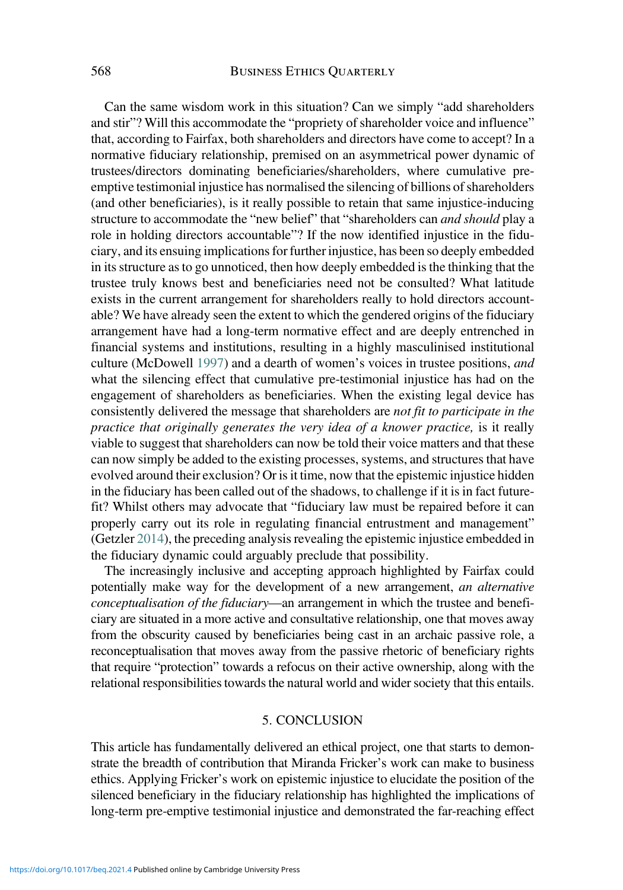Can the same wisdom work in this situation? Can we simply "add shareholders and stir"? Will this accommodate the "propriety of shareholder voice and influence" that, according to Fairfax, both shareholders and directors have come to accept? In a normative fiduciary relationship, premised on an asymmetrical power dynamic of trustees/directors dominating beneficiaries/shareholders, where cumulative preemptive testimonial injustice has normalised the silencing of billions of shareholders (and other beneficiaries), is it really possible to retain that same injustice-inducing structure to accommodate the "new belief" that "shareholders can and should play a role in holding directors accountable"? If the now identified injustice in the fiduciary, and its ensuing implications for further injustice, has been so deeply embedded in its structure as to go unnoticed, then how deeply embedded is the thinking that the trustee truly knows best and beneficiaries need not be consulted? What latitude exists in the current arrangement for shareholders really to hold directors accountable? We have already seen the extent to which the gendered origins of the fiduciary arrangement have had a long-term normative effect and are deeply entrenched in financial systems and institutions, resulting in a highly masculinised institutional culture (McDowell [1997](#page-21-0)) and a dearth of women's voices in trustee positions, and what the silencing effect that cumulative pre-testimonial injustice has had on the engagement of shareholders as beneficiaries. When the existing legal device has consistently delivered the message that shareholders are not fit to participate in the practice that originally generates the very idea of a knower practice, is it really viable to suggest that shareholders can now be told their voice matters and that these can now simply be added to the existing processes, systems, and structures that have evolved around their exclusion? Or is it time, now that the epistemic injustice hidden in the fiduciary has been called out of the shadows, to challenge if it is in fact futurefit? Whilst others may advocate that "fiduciary law must be repaired before it can properly carry out its role in regulating financial entrustment and management" (Getzler [2014\)](#page-21-0), the preceding analysis revealing the epistemic injustice embedded in the fiduciary dynamic could arguably preclude that possibility.

The increasingly inclusive and accepting approach highlighted by Fairfax could potentially make way for the development of a new arrangement, an alternative conceptualisation of the fiduciary—an arrangement in which the trustee and beneficiary are situated in a more active and consultative relationship, one that moves away from the obscurity caused by beneficiaries being cast in an archaic passive role, a reconceptualisation that moves away from the passive rhetoric of beneficiary rights that require "protection" towards a refocus on their active ownership, along with the relational responsibilities towards the natural world and wider society that this entails.

#### 5. CONCLUSION

This article has fundamentally delivered an ethical project, one that starts to demonstrate the breadth of contribution that Miranda Fricker's work can make to business ethics. Applying Fricker's work on epistemic injustice to elucidate the position of the silenced beneficiary in the fiduciary relationship has highlighted the implications of long-term pre-emptive testimonial injustice and demonstrated the far-reaching effect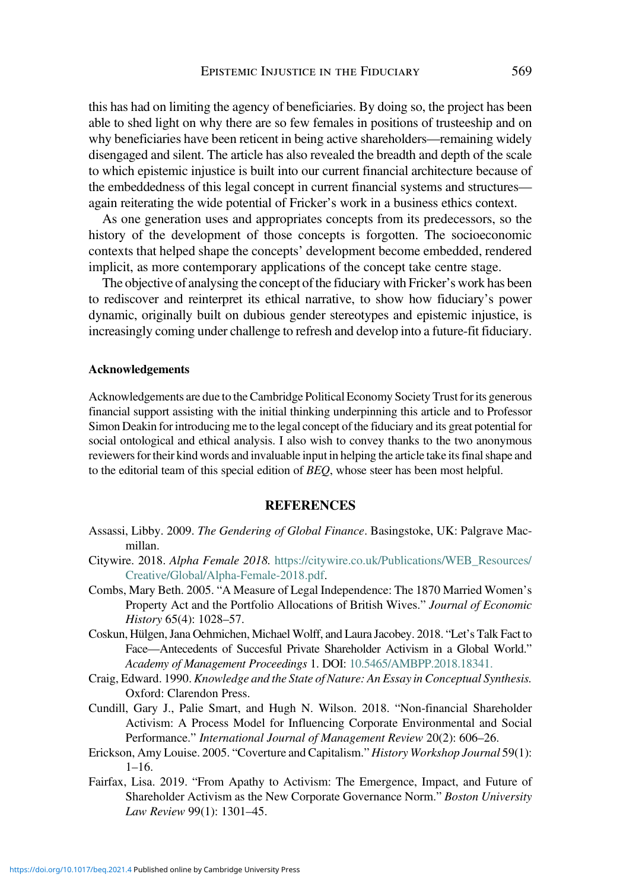<span id="page-20-0"></span>this has had on limiting the agency of beneficiaries. By doing so, the project has been able to shed light on why there are so few females in positions of trusteeship and on why beneficiaries have been reticent in being active shareholders—remaining widely disengaged and silent. The article has also revealed the breadth and depth of the scale to which epistemic injustice is built into our current financial architecture because of the embeddedness of this legal concept in current financial systems and structures again reiterating the wide potential of Fricker's work in a business ethics context.

As one generation uses and appropriates concepts from its predecessors, so the history of the development of those concepts is forgotten. The socioeconomic contexts that helped shape the concepts' development become embedded, rendered implicit, as more contemporary applications of the concept take centre stage.

The objective of analysing the concept of the fiduciary with Fricker's work has been to rediscover and reinterpret its ethical narrative, to show how fiduciary's power dynamic, originally built on dubious gender stereotypes and epistemic injustice, is increasingly coming under challenge to refresh and develop into a future-fit fiduciary.

#### Acknowledgements

Acknowledgements are due to the Cambridge Political Economy Society Trust for its generous financial support assisting with the initial thinking underpinning this article and to Professor Simon Deakin for introducing me to the legal concept of the fiduciary and its great potential for social ontological and ethical analysis. I also wish to convey thanks to the two anonymous reviewers for their kind words and invaluable input in helping the article take its final shape and to the editorial team of this special edition of BEQ, whose steer has been most helpful.

#### **REFERENCES**

- Assassi, Libby. 2009. The Gendering of Global Finance. Basingstoke, UK: Palgrave Macmillan.
- Citywire. 2018. Alpha Female 2018. [https://citywire.co.uk/Publications/WEB\\_Resources/](https://citywire.co.uk/Publications/WEB_Resources/Creative/Global/Alpha-Female-2018.pdf) [Creative/Global/Alpha-Female-2018.pdf](https://citywire.co.uk/Publications/WEB_Resources/Creative/Global/Alpha-Female-2018.pdf).
- Combs, Mary Beth. 2005. "A Measure of Legal Independence: The 1870 Married Women's Property Act and the Portfolio Allocations of British Wives." Journal of Economic History 65(4): 1028–57.
- Coskun, Hülgen, Jana Oehmichen, Michael Wolff, and Laura Jacobey. 2018. "Let's Talk Fact to Face—Antecedents of Succesful Private Shareholder Activism in a Global World." Academy of Management Proceedings 1. DOI: [10.5465/AMBPP.2018.18341.](https://doi.org/10.5465/AMBPP.2018.18341)
- Craig, Edward. 1990. Knowledge and the State of Nature: An Essay in Conceptual Synthesis. Oxford: Clarendon Press.
- Cundill, Gary J., Palie Smart, and Hugh N. Wilson. 2018. "Non-financial Shareholder Activism: A Process Model for Influencing Corporate Environmental and Social Performance." International Journal of Management Review 20(2): 606–26.
- Erickson, Amy Louise. 2005. "Coverture and Capitalism." History Workshop Journal 59(1): 1–16.
- Fairfax, Lisa. 2019. "From Apathy to Activism: The Emergence, Impact, and Future of Shareholder Activism as the New Corporate Governance Norm." Boston University Law Review 99(1): 1301–45.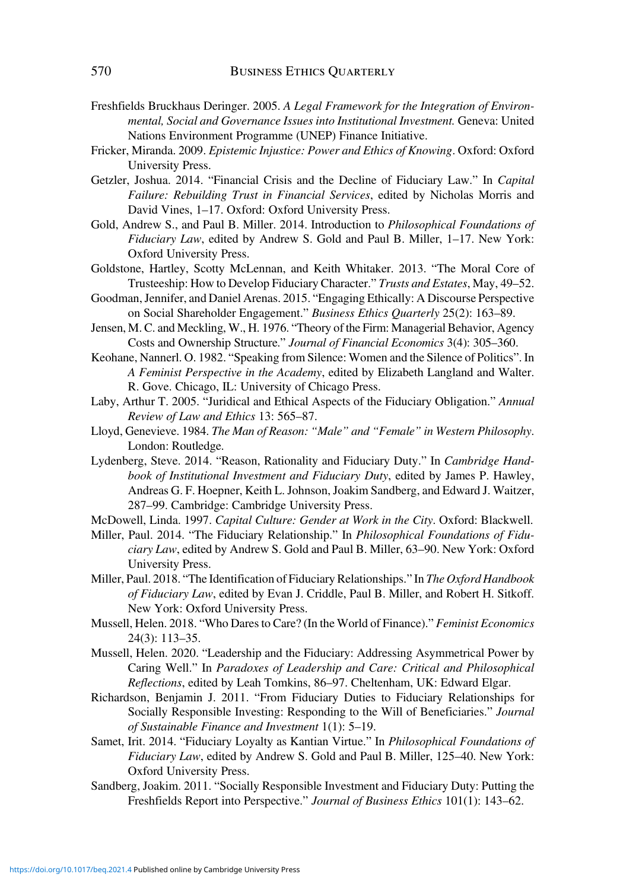- <span id="page-21-0"></span>Freshfields Bruckhaus Deringer. 2005. A Legal Framework for the Integration of Environmental, Social and Governance Issues into Institutional Investment. Geneva: United Nations Environment Programme (UNEP) Finance Initiative.
- Fricker, Miranda. 2009. Epistemic Injustice: Power and Ethics of Knowing. Oxford: Oxford University Press.
- Getzler, Joshua. 2014. "Financial Crisis and the Decline of Fiduciary Law." In Capital Failure: Rebuilding Trust in Financial Services, edited by Nicholas Morris and David Vines, 1–17. Oxford: Oxford University Press.
- Gold, Andrew S., and Paul B. Miller. 2014. Introduction to Philosophical Foundations of Fiduciary Law, edited by Andrew S. Gold and Paul B. Miller, 1–17. New York: Oxford University Press.
- Goldstone, Hartley, Scotty McLennan, and Keith Whitaker. 2013. "The Moral Core of Trusteeship: How to Develop Fiduciary Character." Trusts and Estates, May, 49–52.
- Goodman, Jennifer, and Daniel Arenas. 2015. "Engaging Ethically: A Discourse Perspective on Social Shareholder Engagement." Business Ethics Quarterly 25(2): 163–89.
- Jensen, M. C. and Meckling, W., H. 1976. "Theory of the Firm: Managerial Behavior, Agency Costs and Ownership Structure." Journal of Financial Economics 3(4): 305–360.
- Keohane, Nannerl. O. 1982. "Speaking from Silence: Women and the Silence of Politics". In A Feminist Perspective in the Academy, edited by Elizabeth Langland and Walter. R. Gove. Chicago, IL: University of Chicago Press.
- Laby, Arthur T. 2005. "Juridical and Ethical Aspects of the Fiduciary Obligation." Annual Review of Law and Ethics 13: 565–87.
- Lloyd, Genevieve. 1984. The Man of Reason: "Male" and "Female" in Western Philosophy. London: Routledge.
- Lydenberg, Steve. 2014. "Reason, Rationality and Fiduciary Duty." In Cambridge Handbook of Institutional Investment and Fiduciary Duty, edited by James P. Hawley, Andreas G. F. Hoepner, Keith L. Johnson, Joakim Sandberg, and Edward J. Waitzer, 287–99. Cambridge: Cambridge University Press.
- McDowell, Linda. 1997. Capital Culture: Gender at Work in the City. Oxford: Blackwell.
- Miller, Paul. 2014. "The Fiduciary Relationship." In Philosophical Foundations of Fiduciary Law, edited by Andrew S. Gold and Paul B. Miller, 63–90. New York: Oxford University Press.
- Miller, Paul. 2018. "The Identification of Fiduciary Relationships." In The Oxford Handbook of Fiduciary Law, edited by Evan J. Criddle, Paul B. Miller, and Robert H. Sitkoff. New York: Oxford University Press.
- Mussell, Helen. 2018. "Who Dares to Care? (In the World of Finance)." Feminist Economics 24(3): 113–35.
- Mussell, Helen. 2020. "Leadership and the Fiduciary: Addressing Asymmetrical Power by Caring Well." In Paradoxes of Leadership and Care: Critical and Philosophical Reflections, edited by Leah Tomkins, 86–97. Cheltenham, UK: Edward Elgar.
- Richardson, Benjamin J. 2011. "From Fiduciary Duties to Fiduciary Relationships for Socially Responsible Investing: Responding to the Will of Beneficiaries." Journal of Sustainable Finance and Investment 1(1): 5–19.
- Samet, Irit. 2014. "Fiduciary Loyalty as Kantian Virtue." In Philosophical Foundations of Fiduciary Law, edited by Andrew S. Gold and Paul B. Miller, 125–40. New York: Oxford University Press.
- Sandberg, Joakim. 2011. "Socially Responsible Investment and Fiduciary Duty: Putting the Freshfields Report into Perspective." Journal of Business Ethics 101(1): 143-62.